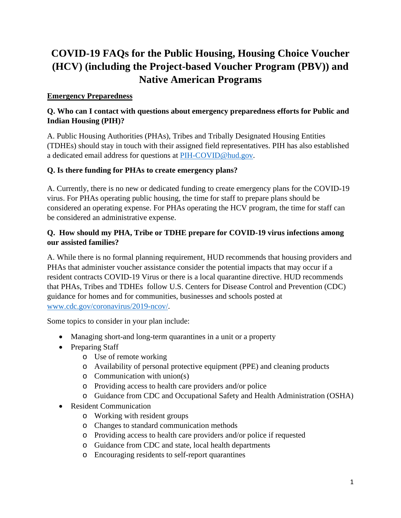# **COVID-19 FAQs for the Public Housing, Housing Choice Voucher (HCV) (including the Project-based Voucher Program (PBV)) and Native American Programs**

# **Emergency Preparedness**

# **Q. Who can I contact with questions about emergency preparedness efforts for Public and Indian Housing (PIH)?**

A. Public Housing Authorities (PHAs), Tribes and Tribally Designated Housing Entities (TDHEs) should stay in touch with their assigned field representatives. PIH has also established a dedicated email address for questions at [PIH-COVID@hud.gov.](mailto:PIH-COVID@hud.gov)

# **Q. Is there funding for PHAs to create emergency plans?**

A. Currently, there is no new or dedicated funding to create emergency plans for the COVID-19 virus. For PHAs operating public housing, the time for staff to prepare plans should be considered an operating expense. For PHAs operating the HCV program, the time for staff can be considered an administrative expense.

#### **Q. How should my PHA, Tribe or TDHE prepare for COVID-19 virus infections among our assisted families?**

A. While there is no formal planning requirement, HUD recommends that housing providers and PHAs that administer voucher assistance consider the potential impacts that may occur if a resident contracts COVID-19 Virus or there is a local quarantine directive. HUD recommends that PHAs, Tribes and TDHEs follow U.S. Centers for Disease Control and Prevention (CDC) guidance for homes and for communities, businesses and schools posted at [www.cdc.gov/coronavirus/2019-ncov/.](http://www.cdc.gov/coronavirus/2019-ncov/)

Some topics to consider in your plan include:

- Managing short-and long-term quarantines in a unit or a property
- Preparing Staff
	- o Use of remote working
	- o Availability of personal protective equipment (PPE) and cleaning products
	- o Communication with union(s)
	- o Providing access to health care providers and/or police
	- o Guidance from CDC and Occupational Safety and Health Administration (OSHA)
- Resident Communication
	- o Working with resident groups
	- o Changes to standard communication methods
	- o Providing access to health care providers and/or police if requested
	- o Guidance from CDC and state, local health departments
	- o Encouraging residents to self-report quarantines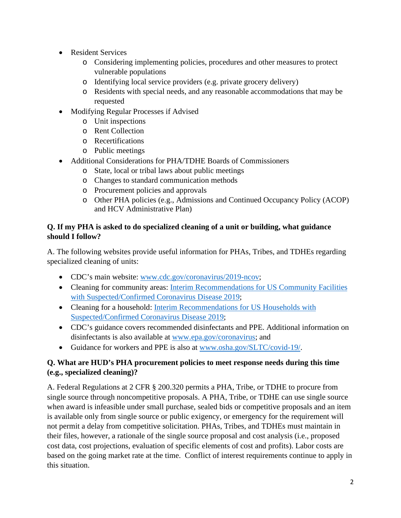- Resident Services
	- o Considering implementing policies, procedures and other measures to protect vulnerable populations
	- o Identifying local service providers (e.g. private grocery delivery)
	- o Residents with special needs, and any reasonable accommodations that may be requested
- Modifying Regular Processes if Advised
	- o Unit inspections
	- o Rent Collection
	- o Recertifications
	- o Public meetings
- Additional Considerations for PHA/TDHE Boards of Commissioners
	- o State, local or tribal laws about public meetings
	- o Changes to standard communication methods
	- o Procurement policies and approvals
	- o Other PHA policies (e.g., Admissions and Continued Occupancy Policy (ACOP) and HCV Administrative Plan)

# **Q. If my PHA is asked to do specialized cleaning of a unit or building, what guidance should I follow?**

A. The following websites provide useful information for PHAs, Tribes, and TDHEs regarding specialized cleaning of units:

- CDC's main website: [www.cdc.gov/coronavirus/2019-ncov;](http://www.cdc.gov/coronavirus/2019-ncov)
- Cleaning for community areas: [Interim Recommendations for US Community Facilities](https://www.cdc.gov/coronavirus/2019-ncov/community/organizations/cleaning-disinfection.html)  [with Suspected/Confirmed Coronavirus Disease 2019;](https://www.cdc.gov/coronavirus/2019-ncov/community/organizations/cleaning-disinfection.html)
- Cleaning for a household: [Interim Recommendations for US Households with](https://www.cdc.gov/coronavirus/2019-ncov/community/home/cleaning-disinfection.html)  [Suspected/Confirmed Coronavirus Disease 2019;](https://www.cdc.gov/coronavirus/2019-ncov/community/home/cleaning-disinfection.html)
- CDC's guidance covers recommended disinfectants and PPE. Additional information on disinfectants is also available at [www.epa.gov/coronavirus;](http://www.epa.gov/coronavirus) and
- Guidance for workers and PPE is also at [www.osha.gov/SLTC/covid-19/.](http://www.osha.gov/SLTC/covid-19/)

# **Q. What are HUD's PHA procurement policies to meet response needs during this time (e.g., specialized cleaning)?**

A. Federal Regulations at 2 CFR § 200.320 permits a PHA, Tribe, or TDHE to procure from single source through noncompetitive proposals. A PHA, Tribe, or TDHE can use single source when award is infeasible under small purchase, sealed bids or competitive proposals and an item is available only from single source or public exigency, or emergency for the requirement will not permit a delay from competitive solicitation. PHAs, Tribes, and TDHEs must maintain in their files, however, a rationale of the single source proposal and cost analysis (i.e., proposed cost data, cost projections, evaluation of specific elements of cost and profits). Labor costs are based on the going market rate at the time. Conflict of interest requirements continue to apply in this situation.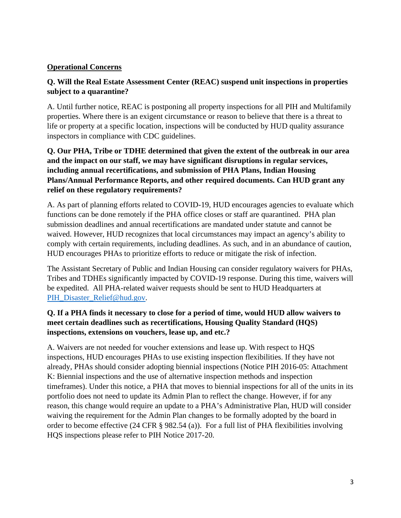#### **Operational Concerns**

#### **Q. Will the Real Estate Assessment Center (REAC) suspend unit inspections in properties subject to a quarantine?**

A. Until further notice, REAC is postponing all property inspections for all PIH and Multifamily properties. Where there is an exigent circumstance or reason to believe that there is a threat to life or property at a specific location, inspections will be conducted by HUD quality assurance inspectors in compliance with CDC guidelines.

# **Q. Our PHA, Tribe or TDHE determined that given the extent of the outbreak in our area and the impact on our staff, we may have significant disruptions in regular services, including annual recertifications, and submission of PHA Plans, Indian Housing Plans/Annual Performance Reports, and other required documents. Can HUD grant any relief on these regulatory requirements?**

A. As part of planning efforts related to COVID-19, HUD encourages agencies to evaluate which functions can be done remotely if the PHA office closes or staff are quarantined. PHA plan submission deadlines and annual recertifications are mandated under statute and cannot be waived. However, HUD recognizes that local circumstances may impact an agency's ability to comply with certain requirements, including deadlines. As such, and in an abundance of caution, HUD encourages PHAs to prioritize efforts to reduce or mitigate the risk of infection.

The Assistant Secretary of Public and Indian Housing can consider regulatory waivers for PHAs, Tribes and TDHEs significantly impacted by COVID-19 response. During this time, waivers will be expedited. All PHA-related waiver requests should be sent to HUD Headquarters at [PIH\\_Disaster\\_Relief@hud.gov.](mailto:PIH_Disaster_Relief@hud.gov)

#### **Q. If a PHA finds it necessary to close for a period of time, would HUD allow waivers to meet certain deadlines such as recertifications, Housing Quality Standard (HQS) inspections, extensions on vouchers, lease up, and etc.?**

A. Waivers are not needed for voucher extensions and lease up. With respect to HQS inspections, HUD encourages PHAs to use existing inspection flexibilities. If they have not already, PHAs should consider adopting biennial inspections (Notice PIH 2016-05: Attachment K: Biennial inspections and the use of alternative inspection methods and inspection timeframes). Under this notice, a PHA that moves to biennial inspections for all of the units in its portfolio does not need to update its Admin Plan to reflect the change. However, if for any reason, this change would require an update to a PHA's Administrative Plan, HUD will consider waiving the requirement for the Admin Plan changes to be formally adopted by the board in order to become effective (24 CFR § 982.54 (a)). For a full list of PHA flexibilities involving HQS inspections please refer to PIH Notice 2017-20.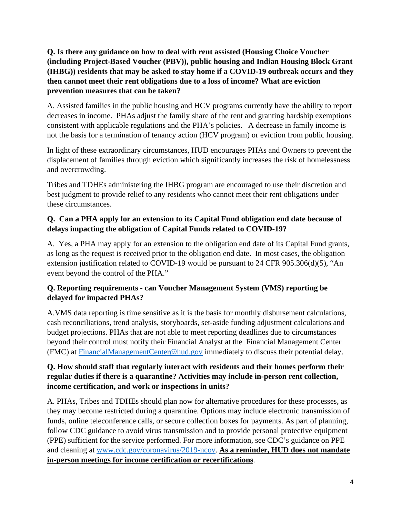**Q. Is there any guidance on how to deal with rent assisted (Housing Choice Voucher (including Project-Based Voucher (PBV)), public housing and Indian Housing Block Grant (IHBG)) residents that may be asked to stay home if a COVID-19 outbreak occurs and they then cannot meet their rent obligations due to a loss of income? What are eviction prevention measures that can be taken?** 

A. Assisted families in the public housing and HCV programs currently have the ability to report decreases in income. PHAs adjust the family share of the rent and granting hardship exemptions consistent with applicable regulations and the PHA's policies. A decrease in family income is not the basis for a termination of tenancy action (HCV program) or eviction from public housing.

In light of these extraordinary circumstances, HUD encourages PHAs and Owners to prevent the displacement of families through eviction which significantly increases the risk of homelessness and overcrowding.

Tribes and TDHEs administering the IHBG program are encouraged to use their discretion and best judgment to provide relief to any residents who cannot meet their rent obligations under these circumstances.

# **Q. Can a PHA apply for an extension to its Capital Fund obligation end date because of delays impacting the obligation of Capital Funds related to COVID-19?**

A. Yes, a PHA may apply for an extension to the obligation end date of its Capital Fund grants, as long as the request is received prior to the obligation end date. In most cases, the obligation extension justification related to COVID-19 would be pursuant to 24 CFR 905.306(d)(5), "An event beyond the control of the PHA."

# **Q. Reporting requirements - can Voucher Management System (VMS) reporting be delayed for impacted PHAs?**

A.VMS data reporting is time sensitive as it is the basis for monthly disbursement calculations, cash reconciliations, trend analysis, storyboards, set-aside funding adjustment calculations and budget projections. PHAs that are not able to meet reporting deadlines due to circumstances beyond their control must notify their Financial Analyst at the Financial Management Center (FMC) at [FinancialManagementCenter@hud.gov](mailto:FinancialManagementCenter@hud.gov) immediately to discuss their potential delay.

# **Q. How should staff that regularly interact with residents and their homes perform their regular duties if there is a quarantine? Activities may include in-person rent collection, income certification, and work or inspections in units?**

A. PHAs, Tribes and TDHEs should plan now for alternative procedures for these processes, as they may become restricted during a quarantine. Options may include electronic transmission of funds, online teleconference calls, or secure collection boxes for payments. As part of planning, follow CDC guidance to avoid virus transmission and to provide personal protective equipment (PPE) sufficient for the service performed. For more information, see CDC's guidance on PPE and cleaning at [www.cdc.gov/coronavirus/2019-ncov.](http://www.cdc.gov/coronavirus/2019-ncov) **As a reminder, HUD does not mandate in-person meetings for income certification or recertifications**.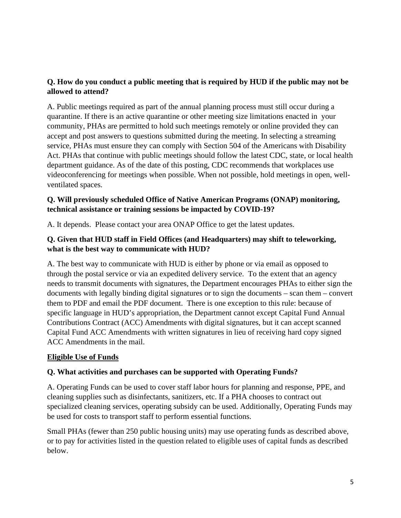# **Q. How do you conduct a public meeting that is required by HUD if the public may not be allowed to attend?**

A. Public meetings required as part of the annual planning process must still occur during a quarantine. If there is an active quarantine or other meeting size limitations enacted in your community, PHAs are permitted to hold such meetings remotely or online provided they can accept and post answers to questions submitted during the meeting. In selecting a streaming service, PHAs must ensure they can comply with Section 504 of the Americans with Disability Act. PHAs that continue with public meetings should follow the latest CDC, state, or local health department guidance. As of the date of this posting, CDC recommends that workplaces use videoconferencing for meetings when possible. When not possible, hold meetings in open, wellventilated spaces.

#### **Q. Will previously scheduled Office of Native American Programs (ONAP) monitoring, technical assistance or training sessions be impacted by COVID-19?**

A. It depends. Please contact your area ONAP Office to get the latest updates.

#### **Q. Given that HUD staff in Field Offices (and Headquarters) may shift to teleworking, what is the best way to communicate with HUD?**

A. The best way to communicate with HUD is either by phone or via email as opposed to through the postal service or via an expedited delivery service. To the extent that an agency needs to transmit documents with signatures, the Department encourages PHAs to either sign the documents with legally binding digital signatures or to sign the documents – scan them – convert them to PDF and email the PDF document. There is one exception to this rule: because of specific language in HUD's appropriation, the Department cannot except Capital Fund Annual Contributions Contract (ACC) Amendments with digital signatures, but it can accept scanned Capital Fund ACC Amendments with written signatures in lieu of receiving hard copy signed ACC Amendments in the mail.

# **Eligible Use of Funds**

# **Q. What activities and purchases can be supported with Operating Funds?**

A. Operating Funds can be used to cover staff labor hours for planning and response, PPE, and cleaning supplies such as disinfectants, sanitizers, etc. If a PHA chooses to contract out specialized cleaning services, operating subsidy can be used. Additionally, Operating Funds may be used for costs to transport staff to perform essential functions.

Small PHAs (fewer than 250 public housing units) may use operating funds as described above, or to pay for activities listed in the question related to eligible uses of capital funds as described below.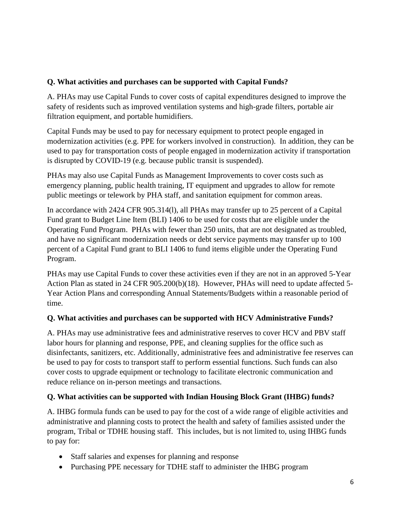# **Q. What activities and purchases can be supported with Capital Funds?**

A. PHAs may use Capital Funds to cover costs of capital expenditures designed to improve the safety of residents such as improved ventilation systems and high-grade filters, portable air filtration equipment, and portable humidifiers.

Capital Funds may be used to pay for necessary equipment to protect people engaged in modernization activities (e.g. PPE for workers involved in construction). In addition, they can be used to pay for transportation costs of people engaged in modernization activity if transportation is disrupted by COVID-19 (e.g. because public transit is suspended).

PHAs may also use Capital Funds as Management Improvements to cover costs such as emergency planning, public health training, IT equipment and upgrades to allow for remote public meetings or telework by PHA staff, and sanitation equipment for common areas.

In accordance with 2424 CFR 905.314(l), all PHAs may transfer up to 25 percent of a Capital Fund grant to Budget Line Item (BLI) 1406 to be used for costs that are eligible under the Operating Fund Program. PHAs with fewer than 250 units, that are not designated as troubled, and have no significant modernization needs or debt service payments may transfer up to 100 percent of a Capital Fund grant to BLI 1406 to fund items eligible under the Operating Fund Program.

PHAs may use Capital Funds to cover these activities even if they are not in an approved 5-Year Action Plan as stated in 24 CFR 905.200(b)(18). However, PHAs will need to update affected 5- Year Action Plans and corresponding Annual Statements/Budgets within a reasonable period of time.

# **Q. What activities and purchases can be supported with HCV Administrative Funds?**

A. PHAs may use administrative fees and administrative reserves to cover HCV and PBV staff labor hours for planning and response, PPE, and cleaning supplies for the office such as disinfectants, sanitizers, etc. Additionally, administrative fees and administrative fee reserves can be used to pay for costs to transport staff to perform essential functions. Such funds can also cover costs to upgrade equipment or technology to facilitate electronic communication and reduce reliance on in-person meetings and transactions.

# **Q. What activities can be supported with Indian Housing Block Grant (IHBG) funds?**

A. IHBG formula funds can be used to pay for the cost of a wide range of eligible activities and administrative and planning costs to protect the health and safety of families assisted under the program, Tribal or TDHE housing staff. This includes, but is not limited to, using IHBG funds to pay for:

- Staff salaries and expenses for planning and response
- Purchasing PPE necessary for TDHE staff to administer the IHBG program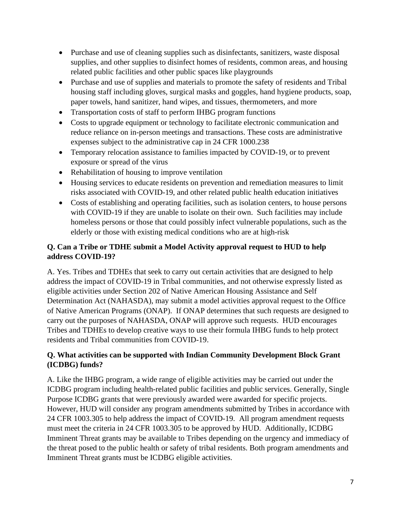- Purchase and use of cleaning supplies such as disinfectants, sanitizers, waste disposal supplies, and other supplies to disinfect homes of residents, common areas, and housing related public facilities and other public spaces like playgrounds
- Purchase and use of supplies and materials to promote the safety of residents and Tribal housing staff including gloves, surgical masks and goggles, hand hygiene products, soap, paper towels, hand sanitizer, hand wipes, and tissues, thermometers, and more
- Transportation costs of staff to perform IHBG program functions
- Costs to upgrade equipment or technology to facilitate electronic communication and reduce reliance on in-person meetings and transactions. These costs are administrative expenses subject to the administrative cap in 24 CFR 1000.238
- Temporary relocation assistance to families impacted by COVID-19, or to prevent exposure or spread of the virus
- Rehabilitation of housing to improve ventilation
- Housing services to educate residents on prevention and remediation measures to limit risks associated with COVID-19, and other related public health education initiatives
- Costs of establishing and operating facilities, such as isolation centers, to house persons with COVID-19 if they are unable to isolate on their own. Such facilities may include homeless persons or those that could possibly infect vulnerable populations, such as the elderly or those with existing medical conditions who are at high-risk

# **Q. Can a Tribe or TDHE submit a Model Activity approval request to HUD to help address COVID-19?**

A. Yes. Tribes and TDHEs that seek to carry out certain activities that are designed to help address the impact of COVID-19 in Tribal communities, and not otherwise expressly listed as eligible activities under Section 202 of Native American Housing Assistance and Self Determination Act (NAHASDA), may submit a model activities approval request to the Office of Native American Programs (ONAP). If ONAP determines that such requests are designed to carry out the purposes of NAHASDA, ONAP will approve such requests. HUD encourages Tribes and TDHEs to develop creative ways to use their formula IHBG funds to help protect residents and Tribal communities from COVID-19.

# **Q. What activities can be supported with Indian Community Development Block Grant (ICDBG) funds?**

A. Like the IHBG program, a wide range of eligible activities may be carried out under the ICDBG program including health-related public facilities and public services. Generally, Single Purpose ICDBG grants that were previously awarded were awarded for specific projects. However, HUD will consider any program amendments submitted by Tribes in accordance with 24 CFR 1003.305 to help address the impact of COVID-19. All program amendment requests must meet the criteria in 24 CFR 1003.305 to be approved by HUD. Additionally, ICDBG Imminent Threat grants may be available to Tribes depending on the urgency and immediacy of the threat posed to the public health or safety of tribal residents. Both program amendments and Imminent Threat grants must be ICDBG eligible activities.